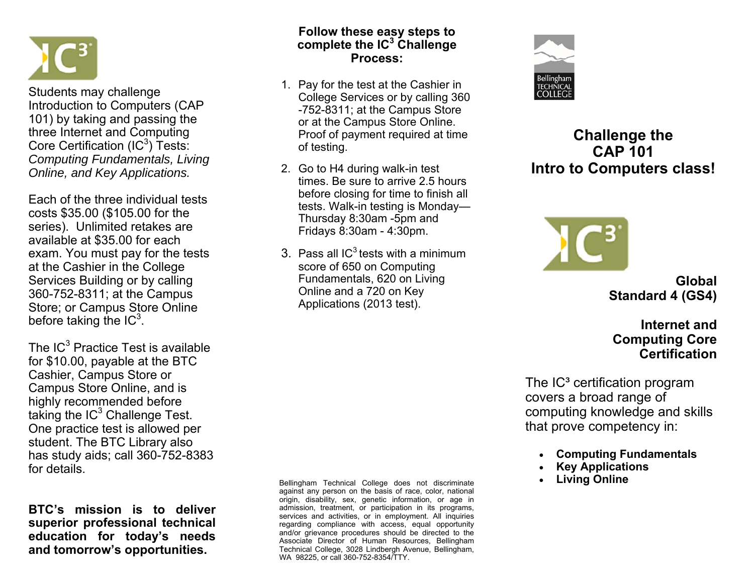

Students may challenge Introduction to Computers (CAP 101) by taking and passing the three Internet and Computing Core Certification  $(IC^3)$  Tests: *Computing Fundamentals, Living Online, and Key Applications.*

Each of the three individual tests costs \$35.00 (\$105.00 for the series). Unlimited retakes are available at \$35.00 for each exam. You must pay for the tests at the Cashier in the College Services Building or by calling 360-752-8311; at the Campus Store; or Campus Store Online before taking the  $IC<sup>3</sup>$ .

The IC $^3$  Practice Test is available for \$10.00, payable at the BTC Cashier, Campus Store or Campus Store Online, and is highly recommended before taking the  $IC<sup>3</sup>$  Challenge Test. One practice test is allowed per student. The BTC Library also has study aids; call 360-752-8383 for details.

**BTC's mission is to deliver superior professional technical education for today's needs and tomorrow's opportunities.** 

#### **Follow these easy steps to complete the IC3 Challenge Process:**

- 1. Pay for the test at the Cashier in College Services or by calling 360 -752-8311; at the Campus Store or at the Campus Store Online. Proof of payment required at time of testing.
- 2. Go to H4 during walk-in test times. Be sure to arrive 2.5 hours before closing for time to finish all tests. Walk-in testing is Monday— Thursday 8:30am -5pm and Fridays 8:30am - 4:30pm.
- 3. Pass all  $IC<sup>3</sup>$  tests with a minimum score of 650 on Computing Fundamentals, 620 on Living Online and a 720 on Key Applications (2013 test).

Bellingham Technical College does not discriminate against any person on the basis of race, color, national origin, disability, sex, genetic information, or age in admission, treatment, or participation in its programs, services and activities, or in employment. All inquiries regarding compliance with access, equal opportunity and/or grievance procedures should be directed to the Associate Director of Human Resources, Bellingham Technical College, 3028 Lindbergh Avenue, Bellingham, WA 98225, or call 360-752-8354/TTY.



# **Challenge the CAP 101 Intro to Computers class!**



**Global Standard 4 (GS4)** 

**Internet and Computing Core Certification** 

The  $IC<sup>3</sup>$  certification program covers a broad range of computing knowledge and skills that prove competency in:

- $\bullet$ **Computing Fundamentals**
- $\bullet$ **Key Applications**
- $\bullet$ **Living Online**